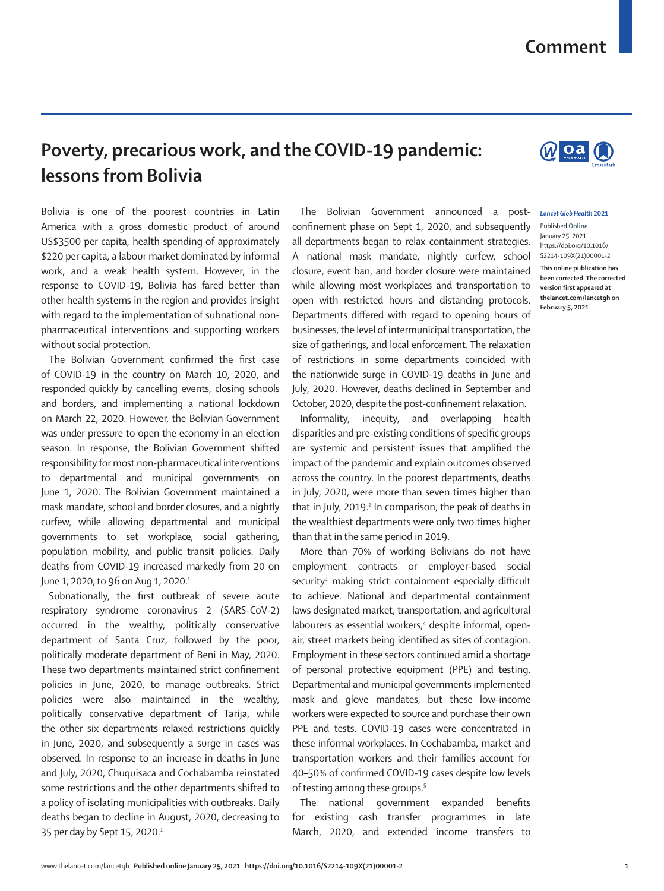## **Comment**

# **Poverty, precarious work, and the COVID-19 pandemic: lessons from Bolivia**

Bolivia is one of the poorest countries in Latin America with a gross domestic product of around US\$3500 per capita, health spending of approximately \$220 per capita, a labour market dominated by informal work, and a weak health system. However, in the response to COVID-19, Bolivia has fared better than other health systems in the region and provides insight with regard to the implementation of subnational nonpharmaceutical interventions and supporting workers without social protection.

The Bolivian Government confirmed the first case of COVID-19 in the country on March 10, 2020, and responded quickly by cancelling events, closing schools and borders, and implementing a national lockdown on March 22, 2020. However, the Bolivian Government was under pressure to open the economy in an election season. In response, the Bolivian Government shifted responsibility for most non-pharmaceutical interventions to departmental and municipal governments on June 1, 2020. The Bolivian Government maintained a mask mandate, school and border closures, and a nightly curfew, while allowing departmental and municipal governments to set workplace, social gathering, population mobility, and public transit policies. Daily deaths from COVID-19 increased markedly from 20 on June 1, 2020, to 96 on Aug 1, 2020.<sup>1</sup>

Subnationally, the first outbreak of severe acute respiratory syndrome coronavirus 2 (SARS-CoV-2) occurred in the wealthy, politically conservative department of Santa Cruz, followed by the poor, politically moderate department of Beni in May, 2020. These two departments maintained strict confinement policies in June, 2020, to manage outbreaks. Strict policies were also maintained in the wealthy, politically conservative department of Tarija, while the other six departments relaxed restrictions quickly in June, 2020, and subsequently a surge in cases was observed. In response to an increase in deaths in June and July, 2020, Chuquisaca and Cochabamba reinstated some restrictions and the other departments shifted to a policy of isolating municipalities with outbreaks. Daily deaths began to decline in August, 2020, decreasing to 35 per day by Sept 15, 2020.<sup>1</sup>

The Bolivian Government announced a postconfinement phase on Sept 1, 2020, and subsequently all departments began to relax containment strategies. A national mask mandate, nightly curfew, school closure, event ban, and border closure were maintained while allowing most workplaces and transportation to open with restricted hours and distancing protocols. Departments differed with regard to opening hours of businesses, the level of intermunicipal transportation, the size of gatherings, and local enforcement. The relaxation of restrictions in some departments coincided with the nationwide surge in COVID-19 deaths in June and July, 2020. However, deaths declined in September and October, 2020, despite the post-confinement relaxation.

Informality, inequity, and overlapping health disparities and pre-existing conditions of specific groups are systemic and persistent issues that amplified the impact of the pandemic and explain outcomes observed across the country. In the poorest departments, deaths in July, 2020, were more than seven times higher than that in July, 2019.<sup>2</sup> In comparison, the peak of deaths in the wealthiest departments were only two times higher than that in the same period in 2019.

More than 70% of working Bolivians do not have employment contracts or employer-based social security<sup>3</sup> making strict containment especially difficult to achieve. National and departmental containment laws designated market, transportation, and agricultural labourers as essential workers,<sup>4</sup> despite informal, openair, street markets being identified as sites of contagion. Employment in these sectors continued amid a shortage of personal protective equipment (PPE) and testing. Departmental and municipal governments implemented mask and glove mandates, but these low-income workers were expected to source and purchase their own PPE and tests. COVID-19 cases were concentrated in these informal workplaces. In Cochabamba, market and transportation workers and their families account for 40–50% of confirmed COVID-19 cases despite low levels of testing among these groups.<sup>5</sup>

The national government expanded benefits for existing cash transfer programmes in late March, 2020, and extended income transfers to



#### *Lancet Glob Health* **2021**

Published **Online** January 25, 2021 https://doi.org/10.1016/ S2214-109X(21)00001-2

**This online publication has been corrected. The corrected version first appeared at thelancet.com/lancetgh on February 5, 2021**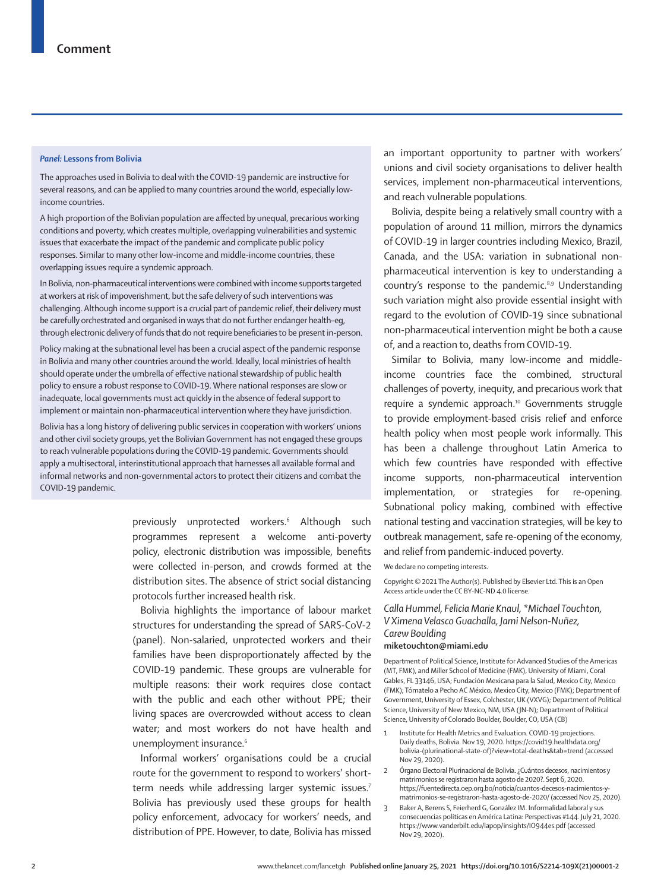### *Panel:* **Lessons from Bolivia**

The approaches used in Bolivia to deal with the COVID-19 pandemic are instructive for several reasons, and can be applied to many countries around the world, especially lowincome countries.

A high proportion of the Bolivian population are affected by unequal, precarious working conditions and poverty, which creates multiple, overlapping vulnerabilities and systemic issues that exacerbate the impact of the pandemic and complicate public policy responses. Similar to many other low-income and middle-income countries, these overlapping issues require a syndemic approach.

In Bolivia, non-pharmaceutical interventions were combined with income supports targeted at workers at risk of impoverishment, but the safe delivery of such interventions was challenging. Although income support is a crucial part of pandemic relief, their delivery must be carefully orchestrated and organised in ways that do not further endanger health–eg, through electronic delivery of funds that do not require beneficiaries to be present in-person.

Policy making at the subnational level has been a crucial aspect of the pandemic response in Bolivia and many other countries around the world. Ideally, local ministries of health should operate under the umbrella of effective national stewardship of public health policy to ensure a robust response to COVID-19. Where national responses are slow or inadequate, local governments must act quickly in the absence of federal support to implement or maintain non-pharmaceutical intervention where they have jurisdiction.

Bolivia has a long history of delivering public services in cooperation with workers' unions and other civil society groups, yet the Bolivian Government has not engaged these groups to reach vulnerable populations during the COVID-19 pandemic. Governments should apply a multisectoral, interinstitutional approach that harnesses all available formal and informal networks and non-governmental actors to protect their citizens and combat the COVID-19 pandemic.

> previously unprotected workers.6 Although such programmes represent a welcome anti-poverty policy, electronic distribution was impossible, benefits were collected in-person, and crowds formed at the distribution sites. The absence of strict social distancing protocols further increased health risk.

> Bolivia highlights the importance of labour market structures for understanding the spread of SARS-CoV-2 (panel). Non-salaried, unprotected workers and their families have been disproportionately affected by the COVID-19 pandemic. These groups are vulnerable for multiple reasons: their work requires close contact with the public and each other without PPE; their living spaces are overcrowded without access to clean water; and most workers do not have health and unemployment insurance.<sup>6</sup>

> Informal workers' organisations could be a crucial route for the government to respond to workers' shortterm needs while addressing larger systemic issues.<sup>7</sup> Bolivia has previously used these groups for health policy enforcement, advocacy for workers' needs, and distribution of PPE. However, to date, Bolivia has missed

an important opportunity to partner with workers' unions and civil society organisations to deliver health services, implement non-pharmaceutical interventions, and reach vulnerable populations.

Bolivia, despite being a relatively small country with a population of around 11 million, mirrors the dynamics of COVID-19 in larger countries including Mexico, Brazil, Canada, and the USA: variation in subnational nonpharmaceutical intervention is key to understanding a country's response to the pandemic.<sup>8,9</sup> Understanding such variation might also provide essential insight with regard to the evolution of COVID-19 since subnational non-pharmaceutical intervention might be both a cause of, and a reaction to, deaths from COVID-19.

Similar to Bolivia, many low-income and middleincome countries face the combined, structural challenges of poverty, inequity, and precarious work that require a syndemic approach.<sup>10</sup> Governments struggle to provide employment-based crisis relief and enforce health policy when most people work informally. This has been a challenge throughout Latin America to which few countries have responded with effective income supports, non-pharmaceutical intervention implementation, or strategies for re-opening. Subnational policy making, combined with effective national testing and vaccination strategies, will be key to outbreak management, safe re-opening of the economy, and relief from pandemic-induced poverty.

We declare no competing interests.

Copyright © 2021 The Author(s). Published by Elsevier Ltd. This is an Open Access article under the CC BY-NC-ND 4.0 license.

### *Calla Hummel, Felicia Marie Knaul, \*Michael Touchton, V Ximena Velasco Guachalla, Jami Nelson-Nuñez, Carew Boulding*

#### **miketouchton@miami.edu**

Department of Political Science**,** Institute for Advanced Studies of the Americas (MT, FMK), and Miller School of Medicine (FMK), University of Miami, Coral Gables, FL 33146, USA; Fundación Mexicana para la Salud, Mexico City, Mexico (FMK); Tómatelo a Pecho AC México, Mexico City, Mexico (FMK); Department of Government, University of Essex, Colchester, UK (VXVG); Department of Political Science, University of New Mexico, NM, USA (JN-N); Department of Political Science, University of Colorado Boulder, Boulder, CO, USA (CB)

- Institute for Health Metrics and Evaluation. COVID-19 projections. Daily deaths, Bolivia. Nov 19, 2020. https://covid19.healthdata.org/ bolivia-(plurinational-state-of)?view=total-deaths&tab=trend (accessed Nov 29, 2020).
- 2 Órgano Electoral Plurinacional de Bolivia. ¿Cuántos decesos, nacimientos y matrimonios se registraron hasta agosto de 2020?. Sept 6, 2020. https://fuentedirecta.oep.org.bo/noticia/cuantos-decesos-nacimientos-ymatrimonios-se-registraron-hasta-agosto-de-2020/ (accessed Nov 25, 2020).
- Baker A, Berens S, Feierherd G, González IM. Informalidad laboral y sus consecuencias políticas en América Latina: Perspectivas #144. July 21, 2020. https://www.vanderbilt.edu/lapop/insights/IO944es.pdf (accessed Nov 29, 2020).